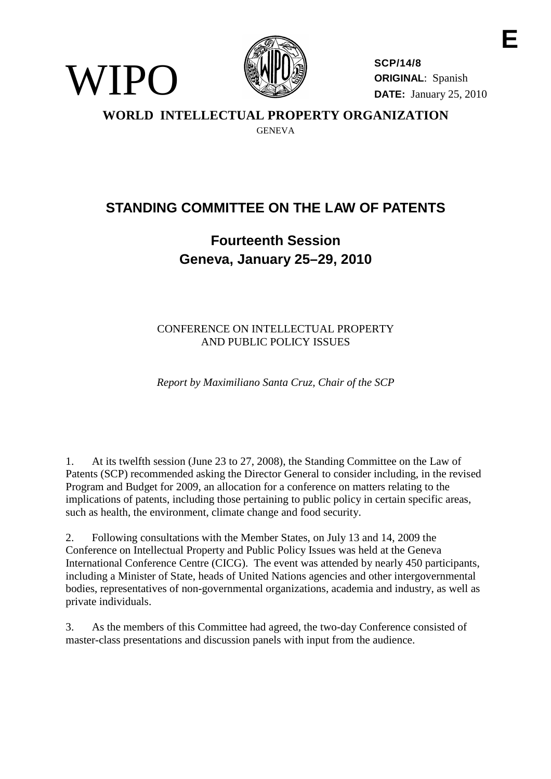



**SCP/14/8 ORIGINAL**: Spanish **DATE:** January 25, 2010

**WORLD INTELLECTUAL PROPERTY ORGANIZATION** GENEVA

## **STANDING COMMITTEE ON THE LAW OF PATENTS**

## **Fourteenth Session Geneva, January 25–29, 2010**

CONFERENCE ON INTELLECTUAL PROPERTY AND PUBLIC POLICY ISSUES

*Report by Maximiliano Santa Cruz, Chair of the SCP*

1. At its twelfth session (June 23 to 27, 2008), the Standing Committee on the Law of Patents (SCP) recommended asking the Director General to consider including, in the revised Program and Budget for 2009, an allocation for a conference on matters relating to the implications of patents, including those pertaining to public policy in certain specific areas, such as health, the environment, climate change and food security.

2. Following consultations with the Member States, on July 13 and 14, 2009 the Conference on Intellectual Property and Public Policy Issues was held at the Geneva International Conference Centre (CICG). The event was attended by nearly 450 participants, including a Minister of State, heads of United Nations agencies and other intergovernmental bodies, representatives of non-governmental organizations, academia and industry, as well as private individuals.

3. As the members of this Committee had agreed, the two-day Conference consisted of master-class presentations and discussion panels with input from the audience.